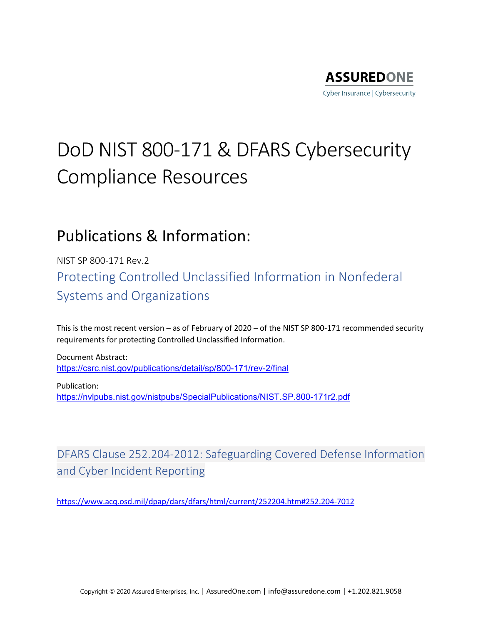

# DoD NIST 800-171 & DFARS Cybersecurity Compliance Resources

### Publications & Information:

NIST SP 800-171 Rev.2 Protecting Controlled Unclassified Information in Nonfederal Systems and Organizations

This is the most recent version – as of February of 2020 – of the NIST SP 800-171 recommended security requirements for protecting Controlled Unclassified Information.

Document Abstract: <https://csrc.nist.gov/publications/detail/sp/800-171/rev-2/final>

Publication: <https://nvlpubs.nist.gov/nistpubs/SpecialPublications/NIST.SP.800-171r2.pdf>

DFARS Clause 252.204-2012: Safeguarding Covered Defense Information and Cyber Incident Reporting

<https://www.acq.osd.mil/dpap/dars/dfars/html/current/252204.htm#252.204-7012>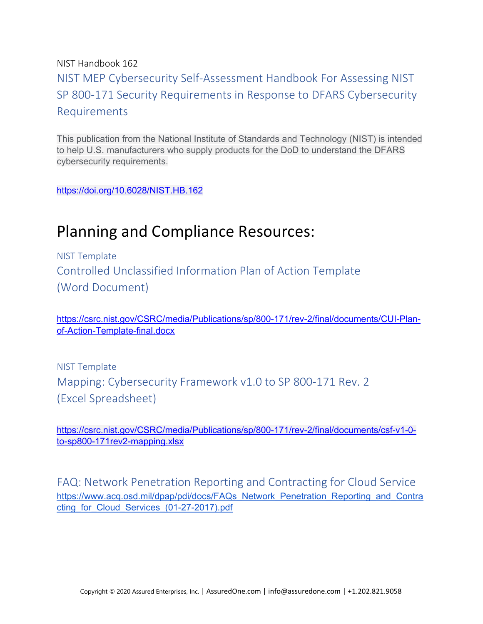#### NIST Handbook 162 NIST MEP Cybersecurity Self-Assessment Handbook For Assessing NIST SP 800-171 Security Requirements in Response to DFARS Cybersecurity Requirements

This publication from the National Institute of Standards and Technology (NIST) is intended to help U.S. manufacturers who supply products for the DoD to understand the DFARS cybersecurity requirements.

<https://doi.org/10.6028/NIST.HB.162>

## Planning and Compliance Resources:

NIST Template Controlled Unclassified Information Plan of Action Template (Word Document)

[https://csrc.nist.gov/CSRC/media/Publications/sp/800-171/rev-2/final/documents/CUI-Plan](https://csrc.nist.gov/CSRC/media/Publications/sp/800-171/rev-2/final/documents/CUI-Plan-of-Action-Template-final.docx)[of-Action-Template-final.docx](https://csrc.nist.gov/CSRC/media/Publications/sp/800-171/rev-2/final/documents/CUI-Plan-of-Action-Template-final.docx)

NIST Template Mapping: Cybersecurity Framework v1.0 to SP 800-171 Rev. 2 (Excel Spreadsheet)

[https://csrc.nist.gov/CSRC/media/Publications/sp/800-171/rev-2/final/documents/csf-v1-0](https://csrc.nist.gov/CSRC/media/Publications/sp/800-171/rev-2/final/documents/csf-v1-0-to-sp800-171rev2-mapping.xlsx) [to-sp800-171rev2-mapping.xlsx](https://csrc.nist.gov/CSRC/media/Publications/sp/800-171/rev-2/final/documents/csf-v1-0-to-sp800-171rev2-mapping.xlsx)

FAQ: Network Penetration Reporting and Contracting for Cloud Service [https://www.acq.osd.mil/dpap/pdi/docs/FAQs\\_Network\\_Penetration\\_Reporting\\_and\\_Contra](https://www.acq.osd.mil/dpap/pdi/docs/FAQs_Network_Penetration_Reporting_and_Contracting_for_Cloud_Services_(01-27-2017).pdf) [cting\\_for\\_Cloud\\_Services\\_\(01-27-2017\).pdf](https://www.acq.osd.mil/dpap/pdi/docs/FAQs_Network_Penetration_Reporting_and_Contracting_for_Cloud_Services_(01-27-2017).pdf)